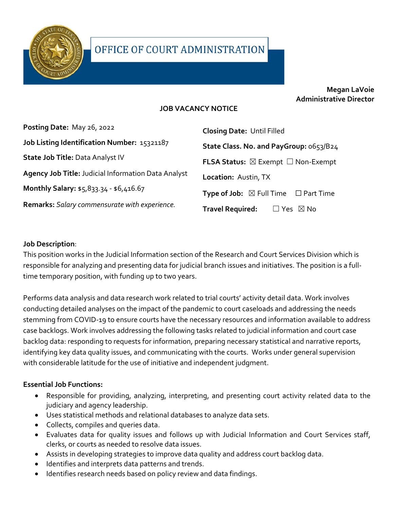

### **Megan LaVoie Administrative Director**

### **JOB VACANCY NOTICE**

| Posting Date: May 26, 2022                          | <b>Closing Date: Until Filled</b>                          |
|-----------------------------------------------------|------------------------------------------------------------|
| Job Listing Identification Number: 15321187         | State Class. No. and PayGroup: 0653/B24                    |
| State Job Title: Data Analyst IV                    | <b>FLSA Status:</b> $\boxtimes$ Exempt $\Box$ Non-Exempt   |
| Agency Job Title: Judicial Information Data Analyst | Location: Austin, TX                                       |
| Monthly Salary: \$5,833.34 - \$6,416.67             | <b>Type of Job:</b> $\boxtimes$ Full Time $\Box$ Part Time |
| Remarks: Salary commensurate with experience.       | <b>Travel Required:</b><br>$\Box$ Yes $\boxtimes$ No       |

#### **Job Description**:

This position works in the Judicial Information section of the Research and Court Services Division which is responsible for analyzing and presenting data for judicial branch issues and initiatives. The position is a fulltime temporary position, with funding up to two years.

Performs data analysis and data research work related to trial courts' activity detail data. Work involves conducting detailed analyses on the impact of the pandemic to court caseloads and addressing the needs stemming from COVID-19 to ensure courts have the necessary resources and information available to address case backlogs. Work involves addressing the following tasks related to judicial information and court case backlog data: responding to requests for information, preparing necessary statistical and narrative reports, identifying key data quality issues, and communicating with the courts. Works under general supervision with considerable latitude for the use of initiative and independent judgment.

#### **Essential Job Functions:**

- Responsible for providing, analyzing, interpreting, and presenting court activity related data to the judiciary and agency leadership.
- Uses statistical methods and relational databases to analyze data sets.
- Collects, compiles and queries data.
- Evaluates data for quality issues and follows up with Judicial Information and Court Services staff, clerks, or courts as needed to resolve data issues.
- Assists in developing strategies to improve data quality and address court backlog data.
- Identifies and interprets data patterns and trends.
- Identifies research needs based on policy review and data findings.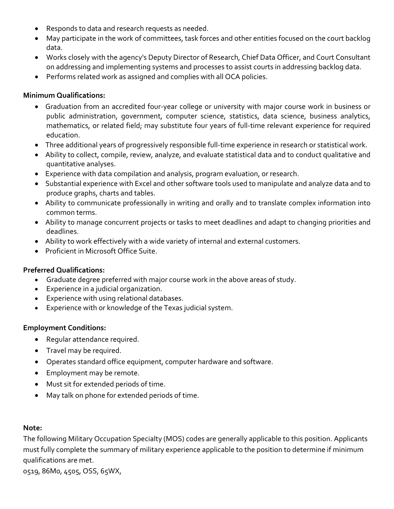- Responds to data and research requests as needed.
- May participate in the work of committees, task forces and other entities focused on the court backlog data.
- Works closely with the agency's Deputy Director of Research, Chief Data Officer, and Court Consultant on addressing and implementing systems and processes to assist courts in addressing backlog data.
- Performs related work as assigned and complies with all OCA policies.

#### **Minimum Qualifications:**

- Graduation from an accredited four-year college or university with major course work in business or public administration, government, computer science, statistics, data science, business analytics, mathematics, or related field; may substitute four years of full-time relevant experience for required education.
- Three additional years of progressively responsible full-time experience in research or statistical work.
- Ability to collect, compile, review, analyze, and evaluate statistical data and to conduct qualitative and quantitative analyses.
- Experience with data compilation and analysis, program evaluation, or research.
- Substantial experience with Excel and other software tools used to manipulate and analyze data and to produce graphs, charts and tables.
- Ability to communicate professionally in writing and orally and to translate complex information into common terms.
- Ability to manage concurrent projects or tasks to meet deadlines and adapt to changing priorities and deadlines.
- Ability to work effectively with a wide variety of internal and external customers.
- Proficient in Microsoft Office Suite.

#### **Preferred Qualifications:**

- Graduate degree preferred with major course work in the above areas of study.
- Experience in a judicial organization.
- Experience with using relational databases.
- Experience with or knowledge of the Texas judicial system.

#### **Employment Conditions:**

- Regular attendance required.
- Travel may be required.
- Operates standard office equipment, computer hardware and software.
- Employment may be remote.
- Must sit for extended periods of time.
- May talk on phone for extended periods of time.

#### **Note:**

The following Military Occupation Specialty (MOS) codes are generally applicable to this position. Applicants must fully complete the summary of military experience applicable to the position to determine if minimum qualifications are met.

0519, 86M0, 4505, OSS, 65WX,